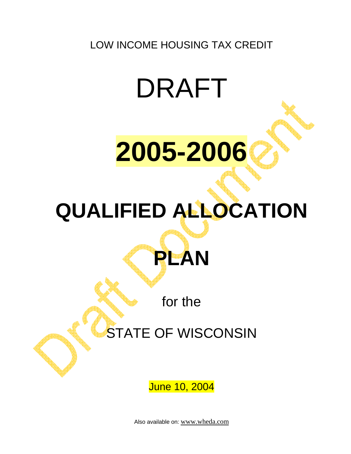LOW INCOME HOUSING TAX CREDIT

# DRAFT



# **QUALIFIED ALLOCATION**

for the

**PLAN** 

## STATE OF WISCONSIN

June 10, 2004

Also available on: [www.wheda.com](http://www.wheda.com:/)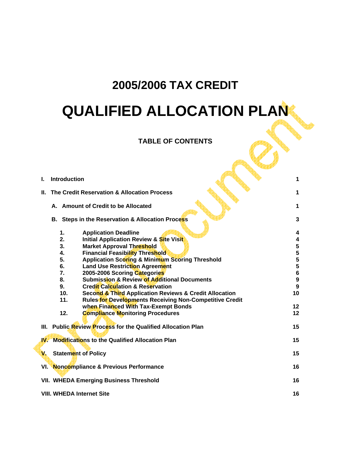## **2005/2006 TAX CREDIT QUALIFIED ALLOCATION PLAN**

## **TABLE OF CONTENTS**

| L            | <b>Introduction</b>                                 |                                                                | 1                |  |  |
|--------------|-----------------------------------------------------|----------------------------------------------------------------|------------------|--|--|
| Н.           | The Credit Reservation & Allocation Process         |                                                                | 1                |  |  |
|              |                                                     | A. Amount of Credit to be Allocated                            | 1                |  |  |
|              |                                                     | B. Steps in the Reservation & Allocation Process               | 3                |  |  |
|              | 1.                                                  | <b>Application Deadline</b>                                    | 4                |  |  |
|              | 2.                                                  | <b>Initial Application Review &amp; Site Visit</b>             | 4                |  |  |
|              | 3.                                                  | <b>Market Approval Threshold</b>                               | 5                |  |  |
|              | 4.                                                  | <b>Financial Feasibility Threshold</b>                         | 5                |  |  |
|              | 5.                                                  | <b>Application Scoring &amp; Minimum Scoring Threshold</b>     |                  |  |  |
|              | 6.                                                  | <b>Land Use Restriction Agreement</b>                          |                  |  |  |
|              | 7.                                                  | 2005-2006 Scoring Categories                                   | $\frac{5}{5}$    |  |  |
|              | 8.                                                  | <b>Submission &amp; Review of Additional Documents</b>         | $\boldsymbol{9}$ |  |  |
|              | 9.                                                  | <b>Credit Calculation &amp; Reservation</b>                    | 9                |  |  |
|              | 10 <sub>1</sub>                                     | Second & Third Application Reviews & Credit Allocation         | 10               |  |  |
|              | 11.                                                 | <b>Rules for Developments Receiving Non-Competitive Credit</b> |                  |  |  |
|              |                                                     | when Financed With Tax-Exempt Bonds                            | 12               |  |  |
|              | 12.                                                 | <b>Compliance Monitoring Procedures</b>                        | 12               |  |  |
|              |                                                     |                                                                |                  |  |  |
| III.         |                                                     | <b>Public Review Process for the Qualified Allocation Plan</b> | 15               |  |  |
| W.           |                                                     | <b>Modifications to the Qualified Allocation Plan</b>          | 15               |  |  |
| $\mathbf{v}$ | <b>Statement of Policy</b>                          |                                                                | 15               |  |  |
|              |                                                     | VI. Noncompliance & Previous Performance                       | 16               |  |  |
|              |                                                     |                                                                |                  |  |  |
|              | 16<br><b>VII. WHEDA Emerging Business Threshold</b> |                                                                |                  |  |  |
|              | <b>VIII. WHEDA Internet Site</b>                    |                                                                | 16               |  |  |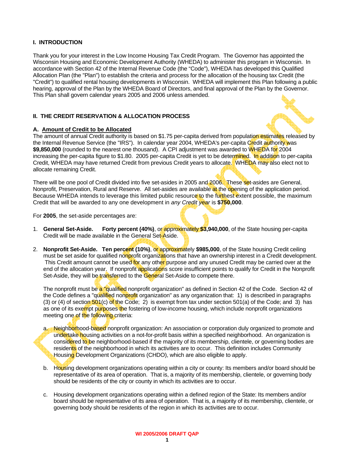#### **I. INTRODUCTION**

Thank you for your interest in the Low Income Housing Tax Credit Program. The Governor has appointed the Wisconsin Housing and Economic Development Authority (WHEDA) to administer this program in Wisconsin. In accordance with Section 42 of the Internal Revenue Code (the "Code"), WHEDA has developed this Qualified Allocation Plan (the "Plan") to establish the criteria and process for the allocation of the housing tax Credit (the "Credit") to qualified rental housing developments in Wisconsin. WHEDA will implement this Plan following a public hearing, approval of the Plan by the WHEDA Board of Directors, and final approval of the Plan by the Governor. This Plan shall govern calendar years 2005 and 2006 unless amended.

#### **II. THE CREDIT RESERVATION & ALLOCATION PROCESS**

#### **A. Amount of Credit to be Allocated**

The amount of annual Credit authority is based on \$1.75 per-capita derived from population estimates released by the Internal Revenue Service (the "IRS"). In calendar year 2004, WHEDA's per-capita Credit authority was **\$9,850,000** (rounded to the nearest one thousand). A CPI adjustment was awarded to WHEDA for 2004 increasing the per-capita figure to \$1.80. 2005 per-capita Credit is yet to be determined. In addition to per-capita Credit, WHEDA may have returned Credit from previous Credit years to allocate. WHEDA may also elect not to allocate remaining Credit.

There will be one pool of Credit divided into five set-asides in 2005 and 2006. These set-asides are General, Nonprofit, Preservation, Rural and Reserve. All set-asides are available at the opening of the application period. Because WHEDA intends to leverage this limited public resource to the furthest extent possible, the maximum Credit that will be awarded to any one development in *any Credit year* is **\$750,000**.

For **2005**, the set-aside percentages are:

- 1. **General Set-Aside. Forty percent (40%)**, or approximately **\$3,940,000**, of the State housing per-capita Credit will be made available in the General Set-Aside.
- 2. **Nonprofit Set-Aside. Ten percent (10%)**, or approximately **\$985,000**, of the State housing Credit ceiling must be set aside for qualified nonprofit organizations that have an ownership interest in a Credit development. This Credit amount cannot be used for any other purpose and any unused Credit may be carried over at the end of the allocation year. If nonprofit applications score insufficient points to qualify for Credit in the Nonprofit Set-Aside, they will be transferred to the General Set-Aside to compete there.

The nonprofit must be a "qualified nonprofit organization" as defined in Section 42 of the Code. Section 42 of the Code defines a "qualified nonprofit organization" as any organization that: 1) is described in paragraphs (3) or (4) of section  $501(c)$  of the Code; 2) is exempt from tax under section  $501(a)$  of the Code; and 3) has as one of its exempt purposes the fostering of low-income housing, which include nonprofit organizations meeting one of the following criteria:

- a. Neighborhood-based nonprofit organization: An association or corporation duly organized to promote and undertake housing activities on a not-for-profit basis within a specified neighborhood. An organization is considered to be neighborhood-based if the majority of its membership, clientele, or governing bodies are residents of the neighborhood in which its activities are to occur. This definition includes Community Housing Development Organizations (CHDO), which are also eligible to apply.
- b. Housing development organizations operating within a city or county: Its members and/or board should be representative of its area of operation. That is, a majority of its membership, clientele, or governing body should be residents of the city or county in which its activities are to occur.
- c. Housing development organizations operating within a defined region of the State: Its members and/or board should be representative of its area of operation. That is, a majority of its membership, clientele, or governing body should be residents of the region in which its activities are to occur.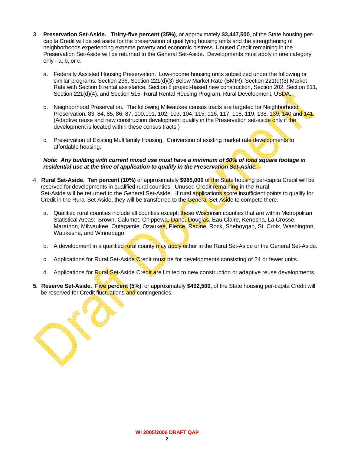- 3. **Preservation Set-Aside. Thirty-five percent (35%)**, or approximately **\$3,447,500**, of the State housing percapita Credit will be set aside for the preservation of qualifying housing units and the strengthening of neighborhoods experiencing extreme poverty and economic distress. Unused Credit remaining in the Preservation Set-Aside will be returned to the General Set-Aside. Developments must apply in one category only - a, b, or c.
	- a. Federally Assisted Housing Preservation. Low-income housing units subsidized under the following or similar programs: Section 236, Section 221(d)(3) Below Market Rate (BMIR), Section 221(d)(3) Market Rate with Section 8 rental assistance, Section 8 project-based new construction, Section 202, Section 811, Section 221(d)(4), and Section 515- Rural Rental Housing Program, Rural Development, USDA.
	- b. Neighborhood Preservation. The following Milwaukee census tracts are targeted for Neighborhood. Preservation: 83, 84, 85, 86, 87, 100,101, 102, 103, 104, 115, 116, 117, 118, 119, 138, 139, 140 and 141. (Adaptive reuse and new construction development qualify in the Preservation set-aside only if the development is located within these census tracts.)
	- c. Preservation of Existing Multifamily Housing. Conversion of existing market rate developments to affordable housing.

#### *Note: Any building with current mixed use must have a minimum of 50% of total square footage in residential use at the time of application to qualify in the Preservation Set-Aside.*

- 4. **Rural Set-Aside. Ten percent (10%)** or approximately **\$985,000** of the State housing per-capita Credit will be reserved for developments in qualified rural counties. Unused Credit remaining in the Rural Set-Aside will be returned to the General Set-Aside. If rural applications score insufficient points to qualify for Credit in the Rural Set-Aside, they will be transferred to the General Set-Aside to compete there.
	- a. Qualified rural counties include all counties except: these Wisconsin counties that are within Metropolitan Statistical Areas: Brown, Calumet, Chippewa, Dane, Douglas, Eau Claire, Kenosha, La Crosse, Marathon, Milwaukee, Outagamie, Ozaukee, Pierce, Racine, Rock, Sheboygan, St. Croix, Washington, Waukesha, and Winnebago.
	- b. A development in a qualified rural county may apply either in the Rural Set-Aside or the General Set-Aside.
	- c. Applications for Rural Set-Aside Credit must be for developments consisting of 24 or fewer units.
	- d. Applications for Rural Set-Aside Credit are limited to new construction or adaptive reuse developments.
- **5. Reserve Set-Aside. Five percent (5%)**, or approximately **\$492,500**, of the State housing per-capita Credit will be reserved for Credit fluctuations and contingencies.

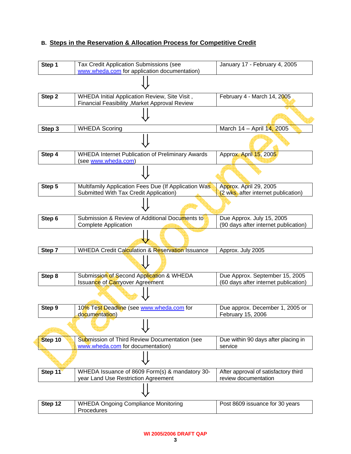## **B. Steps in the Reservation & Allocation Process for Competitive Credit**

| Step 1  | Tax Credit Application Submissions (see<br>www.wheda.com for application documentation)         | January 17 - February 4, 2005                                          |
|---------|-------------------------------------------------------------------------------------------------|------------------------------------------------------------------------|
|         |                                                                                                 |                                                                        |
| Step 2  | WHEDA Initial Application Review, Site Visit,<br>Financial Feasibility , Market Approval Review | February 4 - March 14, 2005                                            |
|         |                                                                                                 |                                                                        |
| Step 3  | <b>WHEDA Scoring</b>                                                                            | March 14 - April 14, 2005                                              |
|         |                                                                                                 |                                                                        |
| Step 4  | <b>WHEDA Internet Publication of Preliminary Awards</b><br>(see www.wheda.com)                  | Approx. April 15, 2005                                                 |
|         |                                                                                                 |                                                                        |
| Step 5  | Multifamily Application Fees Due (If Application Was<br>Submitted With Tax Credit Application)  | Approx. April 29, 2005<br>(2 wks. after internet publication)          |
|         |                                                                                                 |                                                                        |
| Step 6  | Submission & Review of Additional Documents to<br><b>Complete Application</b>                   | Due Approx. July 15, 2005<br>(90 days after internet publication)      |
|         |                                                                                                 |                                                                        |
| Step 7  | WHEDA Credit Calculation & Reservation Issuance                                                 | Approx. July 2005                                                      |
|         |                                                                                                 |                                                                        |
| Step 8  | Submission of Second Application & WHEDA<br><b>Issuance of Carryover Agreement</b>              | Due Approx. September 15, 2005<br>(60 days after internet publication) |
|         |                                                                                                 |                                                                        |
| Step 9  | 10% Test Deadline (see www.wheda.com for<br>documentation)                                      | Due approx. December 1, 2005 or<br>February 15, 2006                   |
|         |                                                                                                 |                                                                        |
| Step 10 | Submission of Third Review Documentation (see<br>www.wheda.com for documentation)               | Due within 90 days after placing in<br>service                         |
|         |                                                                                                 |                                                                        |
| Step 11 | WHEDA Issuance of 8609 Form(s) & mandatory 30-<br>year Land Use Restriction Agreement           | After approval of satisfactory third<br>review documentation           |
|         |                                                                                                 |                                                                        |
| Step 12 | <b>WHEDA Ongoing Compliance Monitoring</b><br>Procedures                                        | Post 8609 issuance for 30 years                                        |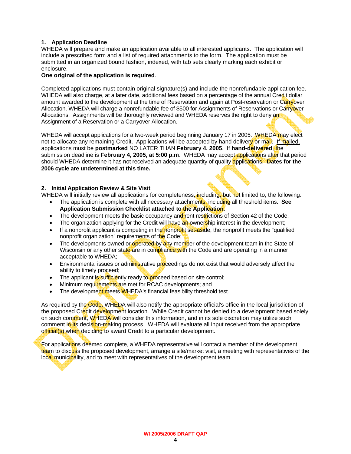#### **1. Application Deadline**

WHEDA will prepare and make an application available to all interested applicants. The application will include a prescribed form and a list of required attachments to the form. The application must be submitted in an organized bound fashion, indexed, with tab sets clearly marking each exhibit or enclosure.

#### **One original of the application is required**.

Completed applications must contain original signature(s) and include the nonrefundable application fee. WHEDA will also charge, at a later date, additional fees based on a percentage of the annual Credit dollar amount awarded to the development at the time of Reservation and again at Post-reservation or Carryover Allocation. WHEDA will charge a nonrefundable fee of \$500 for Assignments of Reservations or Carryover Allocations. Assignments will be thoroughly reviewed and WHEDA reserves the right to deny and Assignment of a Reservation or a Carryover Allocation.

WHEDA will accept applications for a two-week period beginning January 17 in 2005. WHEDA may elect not to allocate any remaining Credit. Applications will be accepted by hand delivery or mail. If mailed, applications must be **postmarked** NO LATER THAN **February 4, 2005**. If **hand-delivered**, the submission deadline is **February 4, 2005, at 5:00 p.m**. WHEDA may accept applications after that period should WHEDA determine it has not received an adequate quantity of quality applications. **Dates for the 2006 cycle are undetermined at this time.** 

#### **2. Initial Application Review & Site Visit**

WHEDA will initially review all applications for completeness, including, but not limited to, the following:

- The application is complete with all necessary attachments, including all threshold items. **See Application Submission Checklist attached to the Application.**
- The development meets the basic occupancy and rent restrictions of Section 42 of the Code;
- The organization applying for the Credit will have an ownership interest in the development;
- If a nonprofit applicant is competing in the nonprofit set-aside, the nonprofit meets the "qualified" nonprofit organization" requirements of the Code;
- The developments owned or operated by any member of the development team in the State of Wisconsin or any other state are in compliance with the Code and are operating in a manner acceptable to WHEDA;
- Environmental issues or administrative proceedings do not exist that would adversely affect the ability to timely proceed;
- The applicant is sufficiently ready to proceed based on site control;
- Minimum requirements are met for RCAC developments; and
- The development meets WHEDA's financial feasibility threshold test.

As required by the Code, WHEDA will also notify the appropriate official's office in the local jurisdiction of the proposed Credit development location. While Credit cannot be denied to a development based solely on such comment, WHEDA will consider this information, and in its sole discretion may utilize such comment in its decision-making process. WHEDA will evaluate all input received from the appropriate official(s) when deciding to award Credit to a particular development.

For applications deemed complete, a WHEDA representative will contact a member of the development team to discuss the proposed development, arrange a site/market visit, a meeting with representatives of the local municipality, and to meet with representatives of the development team.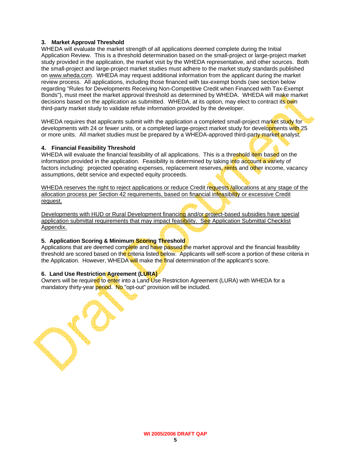#### **3. Market Approval Threshold**

WHEDA will evaluate the market strength of all applications deemed complete during the Initial Application Review. This is a threshold determination based on the small-project or large-project market study provided in the application, the market visit by the WHEDA representative, and other sources. Both the small-project and large-project market studies must adhere to the market study standards published on [www.wheda.com](http://www.wheda.com/). WHEDA may request additional information from the applicant during the market review process. All applications, including those financed with tax-exempt bonds (see section below regarding "Rules for Developments Receiving Non-Competitive Credit when Financed with Tax-Exempt Bonds"), must meet the market approval threshold as determined by WHEDA. WHEDA will make market decisions based on the application as submitted. WHEDA, at its option, may elect to contract its own third-party market study to validate refute information provided by the developer.

WHEDA requires that applicants submit with the application a completed small-project market study for developments with 24 or fewer units, or a completed large-project market study for developments with 25 or more units. All market studies must be prepared by a WHEDA-approved third-party market analyst.

#### **4. Financial Feasibility Threshold**

WHEDA will evaluate the financial feasibility of all applications. This is a threshold item based on the information provided in the application. Feasibility is determined by taking into account a variety of factors including: projected operating expenses, replacement reserves, rents and other income, vacancy assumptions, debt service and expected equity proceeds.

WHEDA reserves the right to reject applications or reduce Credit requests *fallocations* at any stage of the allocation process per Section 42 requirements, based on financial infeasibility or excessive Credit request.

Developments with HUD or Rural Development financing and/or project-based subsidies have special application submittal requirements that may impact feasibility. See Application Submittal Checklist Appendix.

## **5. Application Scoring & Minimum Scoring Threshold**

Applications that are deemed complete and have passed the market approval and the financial feasibility threshold are scored based on the criteria listed below. Applicants will self-score a portion of these criteria in the Application. However, WHEDA will make the final determination of the applicant's score.

## **6. Land Use Restriction Agreement (LURA)**

Owners will be required to enter into a Land Use Restriction Agreement (LURA) with WHEDA for a mandatory thirty-year period. No "opt-out" provision will be included.

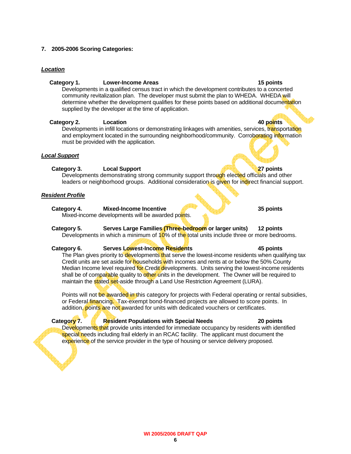#### **7. 2005-2006 Scoring Categories:**

## *Location*

#### Category 1. Lower-Income Areas **15 points 15 points**

 Developments in a qualified census tract in which the development contributes to a concerted community revitalization plan. The developer must submit the plan to WHEDA. WHEDA will determine whether the development qualifies for these points based on additional documentation supplied by the developer at the time of application.

#### **Category 2.** Location **Category 2.** Location **10.** Location **10.** Location **10.** Location **10.** Location **10.** Location **10.** Location **10.** Location **10.** Location **10.** Location **10.** Location **10.** Location **10.** Locat

Developments in infill locations or demonstrating linkages with amenities, services, transportation and employment located in the surrounding neighborhood/community. Corroborating information must be provided with the application.

#### *Local Support*

## **Category 3.** Local Support 27 points **27 points**

Developments demonstrating strong community support through elected officials and other leaders or neighborhood groups. Additional consideration is given for indirect financial support.

#### *Resident Profile*

## **Category 4. Mixed-Income Incentive 35 points**

Mixed-income developments will be awarded points.

## **Category 5. Serves Large Families (Three-bedroom or larger units) 12 points**

Developments in which a minimum of  $10\%$  of the total units include three or more bedrooms.

## Category 6. Serves Lowest-Income Residents **145 points**

The Plan gives priority to developments that serve the lowest-income residents when qualifying tax Credit units are set aside for households with incomes and rents at or below the 50% County Median Income level required for Credit developments. Units serving the lowest-income residents shall be of comparable quality to other units in the development. The Owner will be required to maintain the **stated set-aside through a Land Use Restriction Agreement (LURA).** 

Points will not be awarded in this category for projects with Federal operating or rental subsidies, or Federal financing. Tax-exempt bond-financed projects are allowed to score points. In addition, points are not awarded for units with dedicated vouchers or certificates.

#### **Category 7.** Resident Populations with Special Needs 20 points

Developments that provide units intended for immediate occupancy by residents with identified special needs including frail elderly in an RCAC facility. The applicant must document the experience of the service provider in the type of housing or service delivery proposed.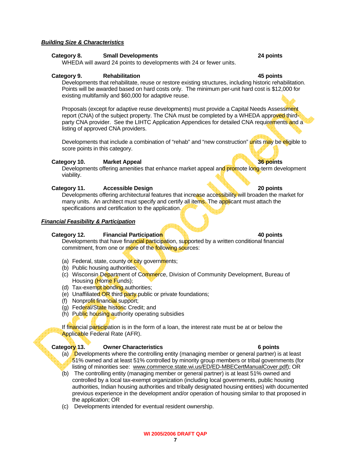#### *Building Size & Characteristics*

#### **Category 8. Small Developments 24 points**

WHEDA will award 24 points to developments with 24 or fewer units.

#### **Category 9. Rehabilitation 45 points**

Developments that rehabilitate, reuse or restore existing structures, including historic rehabilitation. Points will be awarded based on hard costs only. The minimum per-unit hard cost is \$12,000 for existing multifamily and \$60,000 for adaptive reuse.

Proposals (except for adaptive reuse developments) must provide a Capital Needs Assessment report (CNA) of the subject property. The CNA must be completed by a WHEDA approved thirdparty CNA provider. See the LIHTC Application Appendices for detailed CNA requirements and a listing of approved CNA providers.

Developments that include a combination of "rehab" and "new construction" units may be eligible to score points in this category.

#### **Category 10. Market Appeal 36 points**

Developments offering amenities that enhance market appeal and promote long-term development viability.

#### **Category 11.** Accessible Design **20 points 20 points**

Developments offering architectural features that increase accessibility will broaden the market for many units. An architect must specify and certify all items. The applicant must attach the specifications and certification to the application.

#### *Financial Feasibility & Participation*

#### **Category 12. Financial Participation 40 points**

Developments that have financial participation, supported by a written conditional financial commitment, from one or more of the following sources:

- (a) Federal, state, county or city governments;
- (b) Public housing authorities;
- (c) Wisconsin Department of Commerce, Division of Community Development, Bureau of Housing (Home Funds);
- (d) Tax-exempt bonding authorities;
- (e) Unaffiliated OR third party public or private foundations;
- (f) Nonprofit financial support;
- (g) Federal/State historic Credit; and
- (h) Public housing authority operating subsidies

If financial participation is in the form of a loan, the interest rate must be at or below the Applicable Federal Rate (AFR).

#### **Category 13. Owner Characteristics 6 points**

- (a) **D**evelopments where the controlling entity (managing member or general partner) is at least 51% owned and at least 51% controlled by minority group members or tribal governments (for listing of minorities see: [www.commerce.state.wi.us/ED/ED-MBECertManualCover.pdf](http://www.commerce.state.wi.us/ED/ED-MBECertManualCover.pdf)); OR
- (b) The controlling entity (managing member or general partner) is at least 51% owned and controlled by a local tax-exempt organization (including local governments, public housing authorities, Indian housing authorities and tribally designated housing entities) with documented previous experience in the development and/or operation of housing similar to that proposed in the application; OR
- (c) Developments intended for eventual resident ownership.

 **7 WI 2005/2006 DRAFT QAP**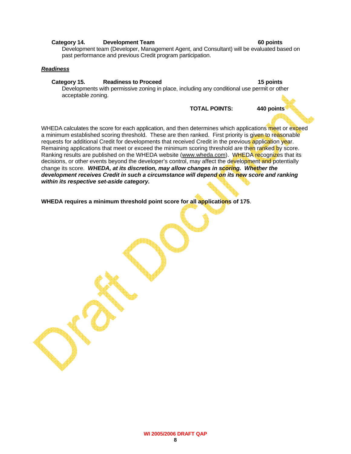#### **Category 14. Development Team 60 points**

Development team (Developer, Management Agent, and Consultant) will be evaluated based on past performance and previous Credit program participation.

#### *Readiness*

#### Category 15. Readiness to Proceed **15 points** 15 points

Developments with permissive zoning in place, including any conditional use permit or other acceptable zoning.

**TOTAL POINTS: 440 points** 

WHEDA calculates the score for each application, and then determines which applications meet or exceed a minimum established scoring threshold. These are then ranked. First priority is given to reasonable requests for additional Credit for developments that received Credit in the previous application year. Remaining applications that meet or exceed the minimum scoring threshold are then ranked by score. Ranking results are published on the WHEDA website (www.wheda.com). WHEDA recognizes that its decisions, or other events beyond the developer's control, may affect the development and potentially change its score. *WHEDA, at its discretion, may allow changes in scoring. Whether the development receives Credit in such a circumstance will depend on its new score and ranking within its respective set-aside category.* 

**WHEDA requires a minimum threshold point score for all applications of 175**.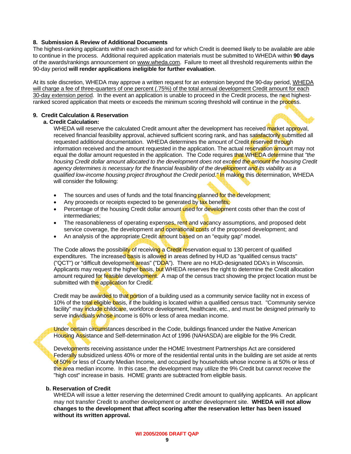#### **8. Submission & Review of Additional Documents**

The highest-ranking applicants within each set-aside and for which Credit is deemed likely to be available are able to continue in the process. Additional required application materials must be submitted to WHEDA within **90 days**  of the awards/rankings announcement on www.wheda.com. Failure to meet all threshold requirements within the 90-day period **will render applications ineligible for further evaluation**.

At its sole discretion, WHEDA may approve a written request for an extension beyond the 90-day period, WHEDA will charge a fee of three-quarters of one percent (.75%) of the total annual development Credit amount for each 30-day extension period. In the event an application is unable to proceed in the Credit process, the next highestranked scored application that meets or exceeds the minimum scoring threshold will continue in the process.

#### **9. Credit Calculation & Reservation**

#### **a. Credit Calculation:**

WHEDA will reserve the calculated Credit amount after the development has received market approval, received financial feasibility approval, achieved sufficient scoring rank, and has satisfactorily submitted all requested additional documentation. WHEDA determines the amount of Credit reserved through information received and the amount requested in the application. The actual reservation amount may not equal the dollar amount requested in the application. The Code requires that WHEDA determine that *"the housing Credit dollar amount allocated to the development does not exceed the amount the housing Credit agency determines is necessary for the financial feasibility of the development and its viability as a qualified low-income housing project throughout the Credit period."* In making this determination, WHEDA will consider the following:

- The sources and uses of funds and the total financing planned for the development;
- Any proceeds or receipts expected to be generated by tax benefits;
- Percentage of the housing Credit dollar amount used for development costs other than the cost of intermediaries;
- The reasonableness of operating expenses, rent and vacancy assumptions, and proposed debt service coverage, the development and operational costs of the proposed development; and
- An analysis of the appropriate Credit amount based on an "equity gap" model.

The Code allows the possibility of receiving a Credit reservation equal to 130 percent of qualified expenditures. The increased basis is allowed in areas defined by HUD as "qualified census tracts" ("QCT") or "difficult development areas" ("DDA"). There are no HUD-designated DDA's in Wisconsin. Applicants may request the higher **basis, but** WHEDA reserves the right to determine the Credit allocation amount required for feasible development. A map of the census tract showing the project location must be submitted with the application for Credit.

Credit may be awarded to that portion of a building used as a community service facility not in excess of 10% of the total eligible basis, if the building is located within a qualified census tract. "Community service facility" may include childcare, workforce development, healthcare, etc., and must be designed primarily to serve individuals whose income is 60% or less of area median income.

Under certain circumstances described in the Code, buildings financed under the Native American Housing Assistance and Self-determination Act of 1996 (NAHASDA) are eligible for the 9% Credit.

Developments receiving assistance under the HOME Investment Partnerships Act are considered Federally subsidized unless 40% or more of the residential rental units in the building are set aside at rents of 50% or less of County Median Income, and occupied by households whose income is at 50% or less of the area median income. In this case, the development may utilize the 9% Credit but cannot receive the "high cost" increase in basis. HOME *grants* are subtracted from eligible basis.

#### **b. Reservation of Credit**

WHEDA will issue a letter reserving the determined Credit amount to qualifying applicants. An applicant may not transfer Credit to another development or another development site. **WHEDA will not allow changes to the development that affect scoring after the reservation letter has been issued without its written approval.**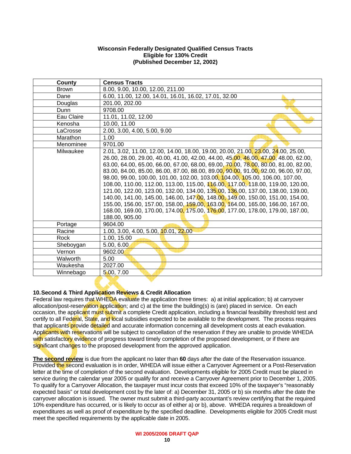#### **Wisconsin Federally Designated Qualified Census Tracts Eligible for 130% Credit (Published December 12, 2002)**

| County          | <b>Census Tracts</b>                                                                  |
|-----------------|---------------------------------------------------------------------------------------|
| <b>Brown</b>    | 8.00, 9.00, 10.00, 12.00, 211.00                                                      |
| Dane            | 6.00, 11.00, 12.00, 14.01, 16.01, 16.02, 17.01, 32.00                                 |
| Douglas         | 201.00, 202.00                                                                        |
| Dunn            | 9708.00                                                                               |
| Eau Claire      | 11.01, 11.02, 12.00                                                                   |
| Kenosha         | 10.00, 11.00                                                                          |
| LaCrosse        | 2.00, 3.00, 4.00, 5.00, 9.00                                                          |
| Marathon        | 1.00                                                                                  |
| Menominee       | 9701.00                                                                               |
| Milwaukee       | 2.01, 3.02, 11.00, 12.00, 14.00, 18.00, 19.00, 20.00, 21.00, 23.00, 24.00, 25.00,     |
|                 | 26.00, 28.00, 29.00, 40.00, 41.00, 42.00, 44.00, 45.00, 46.00, 47.00, 48.00, 62.00,   |
|                 | $63.00, 64.00, 65.00, 66.00, 67.00, 68.00, 69.00, 70.00, 78.00, 80.00, 81.00, 82.00,$ |
|                 | 83.00, 84.00, 85.00, 86.00, 87.00, 88.00, 89.00, 90.00, 91.00, 92.00, 96.00, 97.00,   |
|                 | 98.00, 99.00, 100.00, 101.00, 102.00, 103.00, 104.00, 105.00, 106.00, 107.00,         |
|                 | 108.00, 110.00, 112.00, 113.00, 115.00, 116.00, 117.00, 118.00, 119.00, 120.00,       |
|                 | 121.00, 122.00, 123.00, 132.00, 134.00, 135.00, 136.00, 137.00, 138.00, 139.00,       |
|                 | 140.00, 141.00, 145.00, 146.00, 147.00, 148.00, 149.00, 150.00, 151.00, 154.00,       |
|                 | 155.00, 156.00, 157.00, 158.00, 159.00, 163.00, 164.00, 165.00, 166.00, 167.00,       |
|                 | 168.00, 169.00, 170.00, 174.00, 175.00, 176.00, 177.00, 178.00, 179.00, 187.00,       |
|                 | 188.00, 905.00                                                                        |
| Portage         | 9604.00                                                                               |
| Racine          | 1.00, 3.00, 4.00, 5.00, 10.01, 22.00                                                  |
| Rock            | 1.00, 15.00                                                                           |
| Sheboygan       | 5.00, 6.00                                                                            |
| Vernon          | 9602.00                                                                               |
| <b>Walworth</b> | 5.00                                                                                  |
| Waukesha        | 2027.00                                                                               |
| Winnebago       | 5.00, 7.00                                                                            |

## **10. Second & Third Application Reviews & Credit Allocation**

Federal law requires that WHEDA evaluate the application three times: a) at initial application; b) at carryover allocation/post-reservation application; and c) at the time the building(s) is (are) placed in service. On each occasion, the applicant must submit a complete Credit application, including a financial feasibility threshold test and certify to all Federal, State, and local subsidies expected to be available to the development. The process requires that applicants provide detailed and accurate information concerning all development costs at each evaluation. Applicants with reservations will be subject to cancellation of the reservation if they are unable to provide WHEDA with satisfactory evidence of progress toward timely completion of the proposed development, or if there are significant changes to the proposed development from the approved application.

**The second review** is due from the applicant no later than **60** days after the date of the Reservation issuance. Provided the second evaluation is in order, WHEDA will issue either a Carryover Agreement or a Post-Reservation letter at the time of completion of the second evaluation. Developments eligible for 2005 Credit must be placed in service during the calendar year 2005 or qualify for and receive a Carryover Agreement prior to December 1, 2005. To qualify for a Carryover Allocation, the taxpayer must incur costs that exceed 10% of the taxpayer's "reasonably expected basis" or total development cost by the later of: a) December 31, 2005 or b) six months after the date the carryover allocation is issued. The owner must submit a third-party accountant's review certifying that the required 10% expenditure has occurred, or is likely to occur as of either a) or b), above. WHEDA requires a breakdown of expenditures as well as proof of expenditure by the specified deadline. Developments eligible for 2005 Credit must meet the specified requirements by the applicable date in 2005.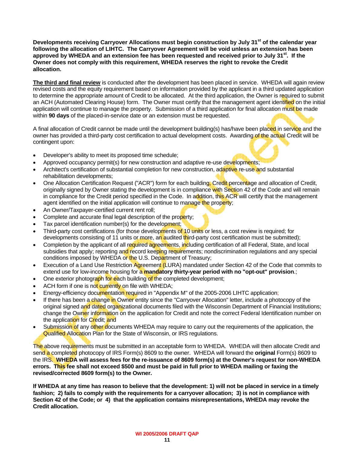**Developments receiving Carryover Allocations must begin construction by July 31st of the calendar year following the allocation of LIHTC. The Carryover Agreement will be void unless an extension has been approved by WHEDA and an extension fee has been requested and received prior to July 31st. If the Owner does not comply with this requirement, WHEDA reserves the right to revoke the Credit allocation.**

**The third and final review** is conducted after the development has been placed in service. WHEDA will again review revised costs and the equity requirement based on information provided by the applicant in a third updated application to determine the appropriate amount of Credit to be allocated. At the third application, the Owner is required to submit an ACH (Automated Clearing House) form. The Owner must certify that the management agent identified on the initial application will continue to manage the property. Submission of a third application for final allocation must be made within **90 days** of the placed-in-service date or an extension must be requested.

A final allocation of Credit cannot be made until the development building(s) has/have been placed in service and the owner has provided a third-party cost certification to actual development costs. Awarding of the actual Credit will be contingent upon:

- Developer's ability to meet its proposed time schedule;
- Approved occupancy permit(s) for new construction and adaptive re-use developments;
- Architect's certification of substantial completion for new construction, adaptive re-use and substantial rehabilitation developments;
- One Allocation Certification Request ("ACR") form for each building. Credit percentage and allocation of Credit, originally signed by Owner stating the development is in compliance with Section 42 of the Code and will remain in compliance for the Credit period specified in the Code. In addition, this ACR will certify that the management agent identified on the initial application will continue to manage the property;
- An Owner/Taxpayer-certified current rent roll;
- Complete and accurate final legal description of the property;
- Tax parcel identification number(s) for the development;
- Third-party cost certifications (for those developments of 10 units or less, a cost review is required; for developments consisting of 11 units or more, an audited third-party cost certification must be submitted);
- Completion by the applicant of all required agreements, including certification of all Federal, State, and local subsidies that apply; reporting and record keeping requirements; nondiscrimination requlations and any special conditions imposed by WHEDA or the U.S. Department of Treasury;
- Execution of a Land Use Restriction Agreement (LURA) mandated under Section 42 of the Code that commits to extend use for low-income housing for a **mandatory thirty-year period with no "opt-out" provision**.;
- One exterior photograph for each building of the completed development;
- ACH form if one is not currently on file with WHEDA;
- Energy-efficiency documentation required in "Appendix M" of the 2005-2006 LIHTC application;
- If there has been a change in Owner entity since the "Carryover Allocation" letter, include a photocopy of the original signed and dated organizational documents filed with the Wisconsin Department of Financial Institutions; change the Owner information on the application for Credit and note the correct Federal Identification number on the application for Credit; and
- Submission of any other documents WHEDA may require to carry out the requirements of the application, the Qualified Allocation Plan for the State of Wisconsin, or IRS regulations.

The above requirements must be submitted in an acceptable form to WHEDA. WHEDA will then allocate Credit and send a completed photocopy of IRS Form(s) 8609 to the owner. WHEDA will forward the **original** Form(s) 8609 to the IRS. **WHEDA will assess fees for the re-issuance of 8609 form(s) at the Owner's request for non-WHEDA errors. This fee shall not exceed \$500 and must be paid in full prior to WHEDA mailing or faxing the revised/corrected 8609 form(s) to the Owner.** 

**If WHEDA at any time has reason to believe that the development: 1) will not be placed in service in a timely fashion; 2) fails to comply with the requirements for a carryover allocation; 3) is not in compliance with Section 42 of the Code; or 4) that the application contains misrepresentations, WHEDA may revoke the Credit allocation.**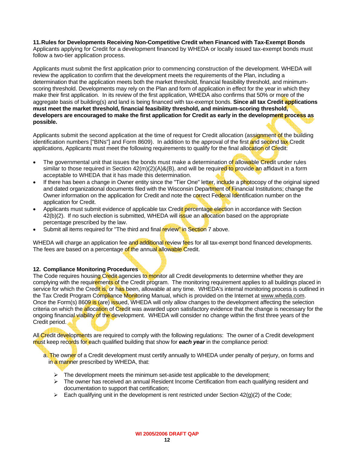## **11. Rules for Developments Receiving Non-Competitive Credit when Financed with Tax-Exempt Bonds**

Applicants applying for Credit for a development financed by WHEDA or locally issued tax-exempt bonds must follow a two-tier application process.

Applicants must submit the first application prior to commencing construction of the development. WHEDA will review the application to confirm that the development meets the requirements of the Plan, including a determination that the application meets both the market threshold, financial feasibility threshold, and minimumscoring threshold. Developments may rely on the Plan and form of application in effect for the year in which they make their first application. In its review of the first application, WHEDA also confirms that 50% or more of the aggregate basis of building(s) and land is being financed with tax-exempt bonds. **Since all tax Credit applications must meet the market threshold, financial feasibility threshold, and minimum-scoring threshold, developers are encouraged to make the first application for Credit as early in the development process as possible.** 

Applicants submit the second application at the time of request for Credit allocation (assignment of the building identification numbers ["BINs"] and Form 8609). In addition to the approval of the first and second tax Credit applications, Applicants must meet the following requirements to qualify for the final allocation of Credit:

- The governmental unit that issues the bonds must make a determination of allowable Credit under rules similar to those required in Section  $42(m)(2)(A)$ &(B), and will be required to provide an affidavit in a form acceptable to WHEDA that it has made this determination.
- If there has been a change in Owner entity since the "Tier One" letter, include a photocopy of the original signed and dated organizational documents filed with the Wisconsin Department of Financial Institutions; change the Owner information on the application for Credit and note the correct Federal Identification number on the application for Credit.
- Applicants must submit evidence of applicable tax Credit percentage election in accordance with Section 42(b)(2). If no such election is submitted, WHEDA will issue an allocation based on the appropriate percentage prescribed by the law.
- Submit all items required for "The third and final review" in Section 7 above.

WHEDA will charge an application fee and additional review fees for all tax-exempt bond financed developments. The fees are based on a percentage of the annual allowable Credit.

## **12. Compliance Monitoring Procedures**

The Code requires housing Credit agencies to monitor all Credit developments to determine whether they are complying with the requirements of the Credit program. The monitoring requirement applies to all buildings placed in service for which the Credit is, or has been, allowable at any time. WHEDA's internal monitoring process is outlined in the Tax Credit Program Compliance Monitoring Manual, which is provided on the Internet at [www.wheda.com](http://www.wheda.com/). Once the Form(s) 8609 is (are) issued, WHEDA will only allow changes to the development affecting the selection criteria on which the allocation of Credit was awarded upon satisfactory evidence that the change is necessary for the ongoing financial viability of the development. WHEDA will consider no change within the first three years of the Credit period.

All Credit developments are required to comply with the following regulations: The owner of a Credit development must keep records for each qualified building that show for *each year* in the compliance period:

a. The owner of a Credit development must certify annually to WHEDA under penalty of perjury, on forms and in a manner prescribed by WHEDA, that:

- $\triangleright$  The development meets the minimum set-aside test applicable to the development;
- ¾ The owner has received an annual Resident Income Certification from each qualifying resident and documentation to support that certification;
- $\triangleright$  Each qualifying unit in the development is rent restricted under Section 42(g)(2) of the Code;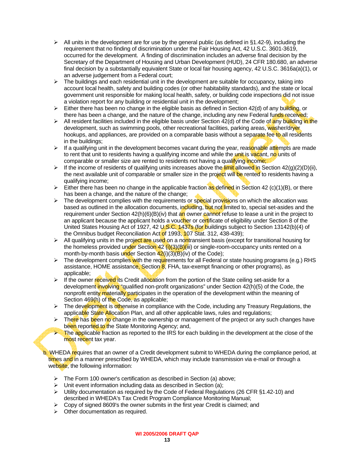- $\triangleright$  All units in the development are for use by the general public (as defined in §1.42-9), including the requirement that no finding of discrimination under the Fair Housing Act, 42 U.S.C. 3601-3619, occurred for the development. A finding of discrimination includes an adverse final decision by the Secretary of the Department of Housing and Urban Development (HUD), 24 CFR 180.680, an adverse final decision by a substantially equivalent State or local fair housing agency, 42 U.S.C. 3616a(a)(1), or an adverse judgement from a Federal court;
- $\triangleright$  The buildings and each residential unit in the development are suitable for occupancy, taking into account local health, safety and building codes (or other habitability standards), and the state or local government unit responsible for making local health, safety, or building code inspections did not issue a violation report for any building or residential unit in the development;
- $\triangleright$  Either there has been no change in the eligible basis as defined in Section 42(d) of any building, or there has been a change, and the nature of the change, including any new Federal funds received;
- $\triangleright$  All resident facilities included in the eligible basis under Section 42(d) of the Code of any building in the development, such as swimming pools, other recreational facilities, parking areas, washer/dryer hookups, and appliances, are provided on a comparable basis without a separate fee to all residents in the buildings;
- $\triangleright$  If a qualifying unit in the development becomes vacant during the year, reasonable attempts are made to rent that unit to residents having a qualifying income and while the unit is vacant, no units of comparable or smaller size are rented to residents not having a qualifying income;
- $\triangleright$  If the income of residents of qualifying units increases above the limit allowed in Section 42(g)(2)(D)(ii), the next available unit of comparable or smaller size in the project will be rented to residents having a qualifying income;
- Either there has been no change in the applicable fraction as defined in Section 42 (c)(1)(B), or there has been a change, and the nature of the change;
- $\triangleright$  The development complies with the requirements or special provisions on which the allocation was based as outlined in the allocation documents, including, but not limited to, special set-asides and the requirement under Section  $42(h)(6)(B)(iv)$  that an owner cannot refuse to lease a unit in the project to an applicant because the applicant holds a voucher or certificate of eligibility under Section 8 of the United States Housing Act of 1927, 42 U.S.C. 1437s (for buildings subject to Section 13142(b)(4) of the Omnibus budget Reconciliation Act of 1993, 107 Stat. 312, 438-439);
- $\triangleright$  All qualifying units in the project are used on a nontransient basis (except for transitional housing for the homeless provided under Section 42  $(i)(3)(B)(ii)$  or single-room-occupancy units rented on a month-by-month basis under Section  $42(i)(3)(B)(iv)$  of the Code);
- $\triangleright$  The development complies with the requirements for all Federal or state housing programs (e.g.) RHS assistance, HOME assistance, Section 8, FHA, tax-exempt financing or other programs), as applicable;
- $\triangleright$  If the owner received its Credit allocation from the portion of the State ceiling set-aside for a development involving "qualified non-profit organizations" under Section 42(h)(5) of the Code, the nonprofit entity materially participates in the operation of the development within the meaning of Section 469(h) of the Code, as applicable;
- $\triangleright$  The development is otherwise in compliance with the Code, including any Treasury Regulations, the applicable State Allocation Plan, and all other applicable laws, rules and regulations;
- $\triangleright$  There has been no change in the ownership or management of the project or any such changes have been reported to the State Monitoring Agency; and,
- **Example 2** The applicable fraction as reported to the IRS for each building in the development at the close of the most recent tax year.

b. WHEDA requires that an owner of a Credit development submit to WHEDA during the compliance period, at times and in a manner prescribed by WHEDA, which may include transmission via e-mail or through a website, the following information:

- ¾ The Form 100 owner's certification as described in Section (a) above;
- $\triangleright$  Unit event information including data as described in Section (a);
- $\triangleright$  Utility documentation as required by the Code of Federal Regulations (26 CFR §1.42-10) and described in WHEDA's Tax Credit Program Compliance Monitoring Manual;
- $\triangleright$  Copy of signed 8609's the owner submits in the first year Credit is claimed; and
- $\triangleright$  Other documentation as required.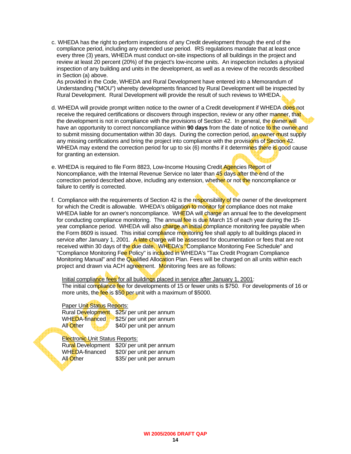c. WHEDA has the right to perform inspections of any Credit development through the end of the compliance period, including any extended use period. IRS regulations mandate that at least once every three (3) years, WHEDA must conduct on-site inspections of all buildings in the project and review at least 20 percent (20%) of the project's low-income units. An inspection includes a physical inspection of any building and units in the development, as well as a review of the records described in Section (a) above.

 As provided in the Code, WHEDA and Rural Development have entered into a Memorandum of Understanding ("MOU") whereby developments financed by Rural Development will be inspected by Rural Development. Rural Development will provide the result of such reviews to WHEDA.

- d. WHEDA will provide prompt written notice to the owner of a Credit development if WHEDA does not receive the required certifications or discovers through inspection, review or any other manner, that the development is not in compliance with the provisions of Section 42. In general, the **owner will** have an opportunity to correct noncompliance within **90 days** from the date of notice to the owner and to submit missing documentation within 30 days. During the correction period, an owner must supply any missing certifications and bring the project into compliance with the provisions of Section 42. WHEDA may extend the correction period for up to six (6) months if it determines there is good cause for granting an extension.
- e. WHEDA is required to file Form 8823, Low-Income Housing Credit Agencies Report of Noncompliance, with the Internal Revenue Service no later than 45 days after the end of the correction period described above, including any extension, whether or not the noncompliance or failure to certify is corrected.
- f. Compliance with the requirements of Section 42 is the responsibility of the owner of the development for which the Credit is allowable. WHEDA's obligation to monitor for compliance does not make WHEDA liable for an owner's noncompliance. WHEDA will charge an annual fee to the development for conducting compliance monitoring. The annual fee is due March 15 of each year during the 15year compliance period. WHEDA will also charge an initial compliance monitoring fee payable when the Form 8609 is issued. This initial compliance monitoring fee shall apply to all buildings placed in service after January 1, 2001. A late charge will be assessed for documentation or fees that are not received within 30 days of the due date. WHEDA's "Compliance Monitoring Fee Schedule" and "Compliance Monitoring Fee Policy" is included in WHEDA's "Tax Credit Program Compliance Monitoring Manual" and the Qualified Allocation Plan. Fees will be charged on all units within each project and drawn via ACH agreement. Monitoring fees are as follows:

Initial compliance fees for all buildings placed in service after January 1, 2001: The initial compliance fee for developments of 15 or fewer units is \$750. For developments of 16 or more units, the fee is \$50 per unit with a maximum of \$5000.

#### Paper Unit Status Reports:

Rural Development \$25/ per unit per annum WHEDA-financed \$25/ per unit per annum All Other \$40/ per unit per annum

#### Electronic Unit Status Reports:

Rural Development \$20/ per unit per annum WHEDA-financed \$20/ per unit per annum All Other \$35/ per unit per annum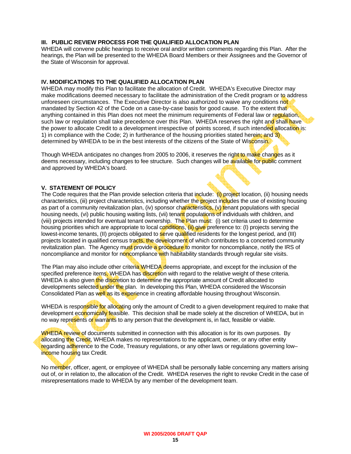#### **III. PUBLIC REVIEW PROCESS FOR THE QUALIFIED ALLOCATION PLAN**

WHEDA will convene public hearings to receive oral and/or written comments regarding this Plan. After the hearings, the Plan will be presented to the WHEDA Board Members or their Assignees and the Governor of the State of Wisconsin for approval.

#### **IV. MODIFICATIONS TO THE QUALIFIED ALLOCATION PLAN**

WHEDA may modify this Plan to facilitate the allocation of Credit. WHEDA's Executive Director may make modifications deemed necessary to facilitate the administration of the Credit program or to address unforeseen circumstances. The Executive Director is also authorized to waive any conditions not mandated by Section 42 of the Code on a case-by-case basis for good cause. To the extent that anything contained in this Plan does not meet the minimum requirements of Federal law or requisition, such law or regulation shall take precedence over this Plan. WHEDA reserves the right and shall have the power to allocate Credit to a development irrespective of points scored, if such intended allocation is: 1) in compliance with the Code; 2) in furtherance of the housing priorities stated herein; and 3) determined by WHEDA to be in the best interests of the citizens of the State of Wisconsin.

Though WHEDA anticipates no changes from 2005 to 2006, it reserves the right to make changes as it deems necessary, including changes to fee structure. Such changes will be available for public comment and approved by WHEDA's board.

#### **V. STATEMENT OF POLICY**

The Code requires that the Plan provide selection criteria that include: (i) project location, (ii) housing needs characteristics, (iii) project characteristics, including whether the project includes the use of existing housing as part of a community revitalization plan, (iv) sponsor characteristics, (v) tenant populations with special housing needs, (vi) public housing waiting lists, (vii) tenant populations of individuals with children, and (viii) projects intended for eventual tenant ownership. The Plan must: (i) set criteria used to determine housing priorities which are appropriate to local conditions, (ii) give preference to: (I) projects serving the lowest-income tenants, (II) projects obligated to serve qualified residents for the longest period, and (III) projects located in qualified census tracts, the development of which contributes to a concerted community revitalization plan. The Agency must provide a procedure to monitor for noncompliance, notify the IRS of noncompliance and monitor for noncompliance with habitability standards through regular site visits.

The Plan may also include other criteria WHEDA deems appropriate, and except for the inclusion of the specified preference items. WHEDA has discretion with regard to the relative weight of these criteria. WHEDA is also given the discretion to determine the appropriate amount of Credit allocated to developments selected under the plan. In developing this Plan, WHEDA considered the Wisconsin Consolidated Plan as well as its experience in creating affordable housing throughout Wisconsin.

WHEDA is responsible for allocating only the amount of Credit to a given development required to make that development economically feasible. This decision shall be made solely at the discretion of WHEDA, but in no way represents or warrants to any person that the development is, in fact, feasible or viable.

WHEDA review of documents submitted in connection with this allocation is for its own purposes. By allocating the Credit, WHEDA makes no representations to the applicant, owner, or any other entity regarding adherence to the Code, Treasury regulations, or any other laws or regulations governing low– income housing tax Credit.

No member, officer, agent, or employee of WHEDA shall be personally liable concerning any matters arising out of, or in relation to, the allocation of the Credit. WHEDA reserves the right to revoke Credit in the case of misrepresentations made to WHEDA by any member of the development team.